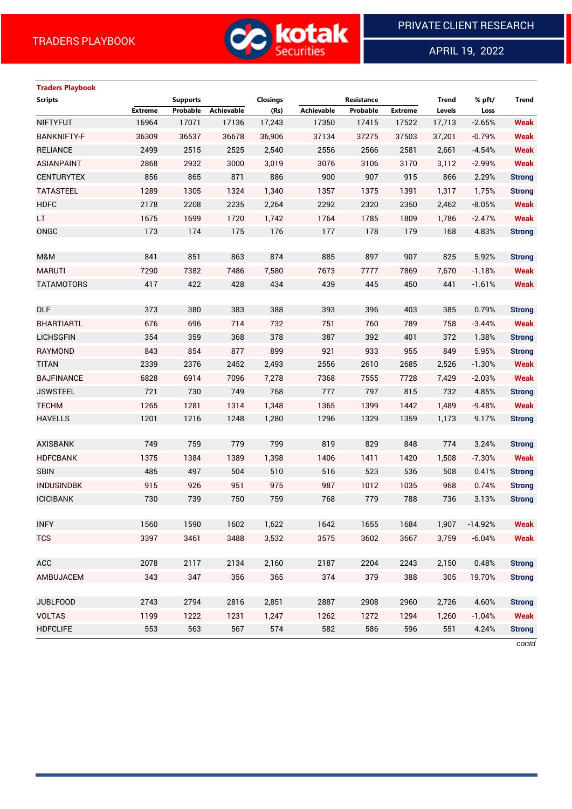

APRIL 19, 2022

 $\overline{a}$ 

# **Traders Playbook**

| <b>Scripts</b>     |                | <b>Supports</b> |            | <b>Closings</b> |                   | Resistance |                | <b>Trend</b> | % pft/    | <b>Trend</b>  |
|--------------------|----------------|-----------------|------------|-----------------|-------------------|------------|----------------|--------------|-----------|---------------|
|                    | <b>Extreme</b> | Probable        | Achievable | (Rs)            | <b>Achievable</b> | Probable   | <b>Extreme</b> | Levels       | Loss      |               |
| <b>NIFTYFUT</b>    | 16964          | 17071           | 17136      | 17,243          | 17350             | 17415      | 17522          | 17,713       | $-2.65%$  | <b>Weak</b>   |
| <b>BANKNIFTY-F</b> | 36309          | 36537           | 36678      | 36,906          | 37134             | 37275      | 37503          | 37,201       | $-0.79%$  | <b>Weak</b>   |
| <b>RELIANCE</b>    | 2499           | 2515            | 2525       | 2,540           | 2556              | 2566       | 2581           | 2,661        | $-4.54%$  | <b>Weak</b>   |
| <b>ASIANPAINT</b>  | 2868           | 2932            | 3000       | 3,019           | 3076              | 3106       | 3170           | 3,112        | $-2.99%$  | <b>Weak</b>   |
| <b>CENTURYTEX</b>  | 856            | 865             | 871        | 886             | 900               | 907        | 915            | 866          | 2.29%     | <b>Strong</b> |
| <b>TATASTEEL</b>   | 1289           | 1305            | 1324       | 1,340           | 1357              | 1375       | 1391           | 1,317        | 1.75%     | <b>Strong</b> |
| <b>HDFC</b>        | 2178           | 2208            | 2235       | 2,264           | 2292              | 2320       | 2350           | 2,462        | $-8.05%$  | <b>Weak</b>   |
| <b>LT</b>          | 1675           | 1699            | 1720       | 1,742           | 1764              | 1785       | 1809           | 1,786        | $-2.47%$  | <b>Weak</b>   |
| ONGC               | 173            | 174             | 175        | 176             | 177               | 178        | 179            | 168          | 4.83%     | <b>Strong</b> |
| M&M                | 841            | 851             | 863        | 874             | 885               | 897        | 907            | 825          | 5.92%     | <b>Strong</b> |
| <b>MARUTI</b>      | 7290           | 7382            | 7486       | 7,580           | 7673              | 7777       | 7869           | 7,670        | $-1.18%$  | <b>Weak</b>   |
| <b>TATAMOTORS</b>  | 417            | 422             | 428        | 434             | 439               | 445        | 450            | 441          | $-1.61%$  | <b>Weak</b>   |
|                    |                |                 |            |                 |                   |            |                |              |           |               |
| <b>DLF</b>         | 373            | 380             | 383        | 388             | 393               | 396        | 403            | 385          | 0.79%     | <b>Strong</b> |
| <b>BHARTIARTL</b>  | 676            | 696             | 714        | 732             | 751               | 760        | 789            | 758          | $-3.44%$  | <b>Weak</b>   |
| <b>LICHSGFIN</b>   | 354            | 359             | 368        | 378             | 387               | 392        | 401            | 372          | 1.38%     | <b>Strong</b> |
| RAYMOND            | 843            | 854             | 877        | 899             | 921               | 933        | 955            | 849          | 5.95%     | <b>Strong</b> |
| <b>TITAN</b>       | 2339           | 2376            | 2452       | 2,493           | 2556              | 2610       | 2685           | 2,526        | $-1.30%$  | <b>Weak</b>   |
| <b>BAJFINANCE</b>  | 6828           | 6914            | 7096       | 7,278           | 7368              | 7555       | 7728           | 7,429        | $-2.03%$  | <b>Weak</b>   |
| <b>JSWSTEEL</b>    | 721            | 730             | 749        | 768             | 777               | 797        | 815            | 732          | 4.85%     | <b>Strong</b> |
| <b>TECHM</b>       | 1265           | 1281            | 1314       | 1,348           | 1365              | 1399       | 1442           | 1,489        | $-9.48%$  | <b>Weak</b>   |
| <b>HAVELLS</b>     | 1201           | 1216            | 1248       | 1,280           | 1296              | 1329       | 1359           | 1,173        | 9.17%     | <b>Strong</b> |
|                    |                |                 |            |                 |                   |            |                |              |           |               |
| <b>AXISBANK</b>    | 749            | 759             | 779        | 799             | 819               | 829        | 848            | 774          | 3.24%     | <b>Strong</b> |
| <b>HDFCBANK</b>    | 1375           | 1384            | 1389       | 1,398           | 1406              | 1411       | 1420           | 1,508        | $-7.30%$  | <b>Weak</b>   |
| <b>SBIN</b>        | 485            | 497             | 504        | 510             | 516               | 523        | 536            | 508          | 0.41%     | <b>Strong</b> |
| <b>INDUSINDBK</b>  | 915            | 926             | 951        | 975             | 987               | 1012       | 1035           | 968          | 0.74%     | <b>Strong</b> |
| <b>ICICIBANK</b>   | 730            | 739             | 750        | 759             | 768               | 779        | 788            | 736          | 3.13%     | <b>Strong</b> |
|                    |                |                 |            |                 |                   |            |                |              |           |               |
| <b>INFY</b>        | 1560           | 1590            | 1602       | 1.622           | 1642              | 1655       | 1684           | 1,907        | $-14.92%$ | Weak          |
| <b>TCS</b>         | 3397           | 3461            | 3488       | 3,532           | 3575              | 3602       | 3667           | 3,759        | $-6.04%$  | <b>Weak</b>   |
|                    |                |                 |            |                 |                   |            |                |              |           |               |
| ACC                | 2078           | 2117            | 2134       | 2,160           | 2187              | 2204       | 2243           | 2,150        | 0.48%     | <b>Strong</b> |
| AMBUJACEM          | 343            | 347             | 356        | 365             | 374               | 379        | 388            | 305          | 19.70%    | <b>Strong</b> |
|                    |                |                 |            |                 |                   |            |                |              |           |               |
| <b>JUBLFOOD</b>    | 2743           | 2794            | 2816       | 2,851           | 2887              | 2908       | 2960           | 2,726        | 4.60%     | <b>Strong</b> |
| <b>VOLTAS</b>      | 1199           | 1222            | 1231       | 1,247           | 1262              | 1272       | 1294           | 1,260        | $-1.04%$  | <b>Weak</b>   |
| <b>HDFCLIFE</b>    | 553            | 563             | 567        | 574             | 582               | 586        | 596            | 551          | 4.24%     | <b>Strong</b> |

*contd*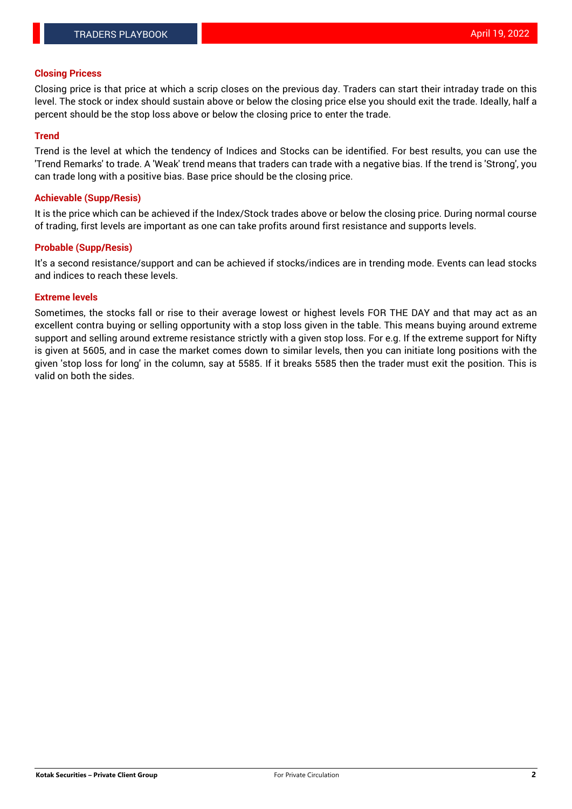### **Closing Pricess**

Closing price is that price at which a scrip closes on the previous day. Traders can start their intraday trade on this level. The stock or index should sustain above or below the closing price else you should exit the trade. Ideally, half a percent should be the stop loss above or below the closing price to enter the trade.

#### **Trend**

Trend is the level at which the tendency of Indices and Stocks can be identified. For best results, you can use the 'Trend Remarks' to trade. A 'Weak' trend means that traders can trade with a negative bias. If the trend is 'Strong', you can trade long with a positive bias. Base price should be the closing price.

#### **Achievable (Supp/Resis)**

It is the price which can be achieved if the Index/Stock trades above or below the closing price. During normal course of trading, first levels are important as one can take profits around first resistance and supports levels.

## **Probable (Supp/Resis)**

It's a second resistance/support and can be achieved if stocks/indices are in trending mode. Events can lead stocks and indices to reach these levels.

#### **Extreme levels**

Sometimes, the stocks fall or rise to their average lowest or highest levels FOR THE DAY and that may act as an excellent contra buying or selling opportunity with a stop loss given in the table. This means buying around extreme support and selling around extreme resistance strictly with a given stop loss. For e.g. If the extreme support for Nifty is given at 5605, and in case the market comes down to similar levels, then you can initiate long positions with the given 'stop loss for long' in the column, say at 5585. If it breaks 5585 then the trader must exit the position. This is valid on both the sides.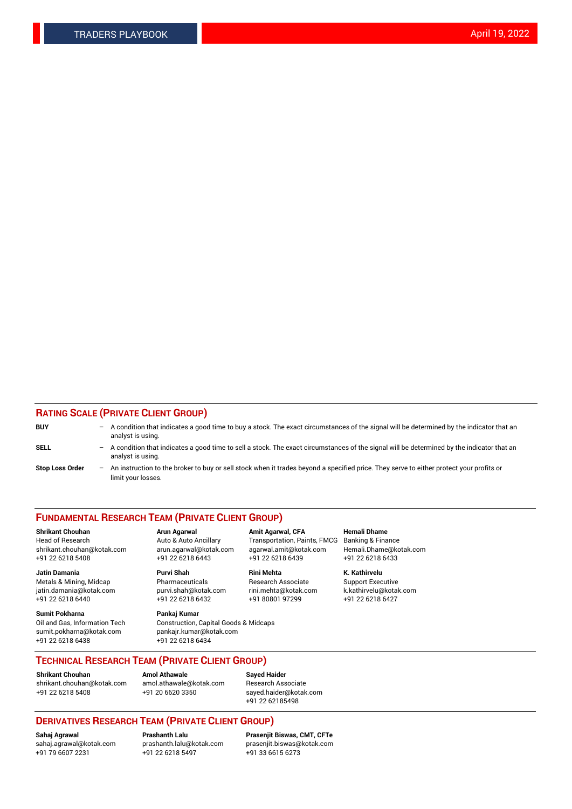## **RATING SCALE (PRIVATE CLIENT GROUP)**

| <b>BUY</b>             | -                 | A condition that indicates a good time to buy a stock. The exact circumstances of the signal will be determined by the indicator that an<br>analyst is using.  |
|------------------------|-------------------|----------------------------------------------------------------------------------------------------------------------------------------------------------------|
| SELL                   | -                 | A condition that indicates a good time to sell a stock. The exact circumstances of the signal will be determined by the indicator that an<br>analyst is using. |
| <b>Stop Loss Order</b> | $\qquad \qquad -$ | An instruction to the broker to buy or sell stock when it trades beyond a specified price. They serve to either protect your profits or<br>limit your losses.  |

#### **FUNDAMENTAL RESEARCH TEAM (PRIVATE CLIENT GROUP)**

**Shrikant Chouhan Arun Agarwal Amit Agarwal, CFA Hemali Dhame** Head of Research Auto & Auto Ancillary Transportation, Paints, FMCG Banking & Finance shrikant.chouhan@kotak.com arun.agarwal@kotak.com agarwal.amit@kotak.com Hemali.Dhame@kotak.com

**Jatin Damania Purvi Shah Rini Mehta K. Kathirvelu** Metals & Mining, Midcap **Pharmaceuticals** Research Associate Support Executive jatin.damania@kotak.com [purvi.shah@kotak.com](mailto:purvi.shah@kotak.com) rini.mehta@kotak.com [k.kathirvelu@kotak.com](mailto:k.kathirvelu@kotak.com)  $+91$  22 6218 6440  $+91$  22 6218 6432

**Sumit Pokharna Pankaj Kumar** sumit.pokharna@kotak.com pankajr.kumar@kotak.com +91 22 6218 6438 +91 22 6218 6434

Oil and Gas, Information Tech Construction, Capital Goods & Midcaps

+91 22 6218 5408 +91 22 6218 6443 +91 22 6218 6439 +91 22 6218 6433

**TECHNICAL RESEARCH TEAM (PRIVATE CLIENT GROUP)**

**Shrikant Chouhan Amol Athawale Sayed Haider** [shrikant.chouhan@kotak.com](mailto:shrikant.chouhan@kotak.com) [amol.athawale@kotak.com](mailto:amol.athawale@kotak.com) Research Associate +91 22 6218 5408 +91 20 6620 3350 [sayed.haider@kotak.com](mailto:sayed.haider@kotak.com)

+91 22 62185498

# **DERIVATIVES RESEARCH TEAM (PRIVATE CLIENT GROUP)**

 $+91$  22 6218 5497

**Sahaj Agrawal Prashanth Lalu Prasenjit Biswas, CMT, CFTe** [sahaj.agrawal@kotak.com](mailto:sahaj.agrawal@kotak.com) [prashanth.lalu@kotak.com](mailto:prashanth.lalu@kotak.com) [prasenjit.biswas@kotak.com](mailto:prasenjit.biswas@kotak.com)